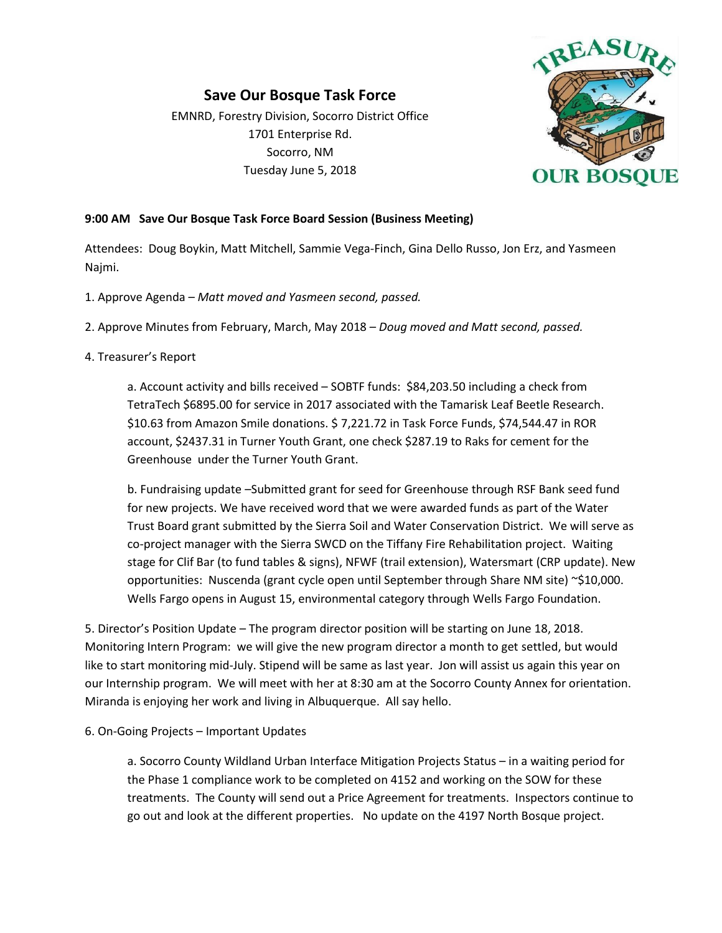## **Save Our Bosque Task Force** EMNRD, Forestry Division, Socorro District Office 1701 Enterprise Rd. Socorro, NM Tuesday June 5, 2018



## **9:00 AM Save Our Bosque Task Force Board Session (Business Meeting)**

Attendees: Doug Boykin, Matt Mitchell, Sammie Vega-Finch, Gina Dello Russo, Jon Erz, and Yasmeen Najmi.

- 1. Approve Agenda *Matt moved and Yasmeen second, passed.*
- 2. Approve Minutes from February, March, May 2018 *Doug moved and Matt second, passed.*

## 4. Treasurer's Report

a. Account activity and bills received – SOBTF funds: \$84,203.50 including a check from TetraTech \$6895.00 for service in 2017 associated with the Tamarisk Leaf Beetle Research. \$10.63 from Amazon Smile donations. \$ 7,221.72 in Task Force Funds, \$74,544.47 in ROR account, \$2437.31 in Turner Youth Grant, one check \$287.19 to Raks for cement for the Greenhouse under the Turner Youth Grant.

b. Fundraising update –Submitted grant for seed for Greenhouse through RSF Bank seed fund for new projects. We have received word that we were awarded funds as part of the Water Trust Board grant submitted by the Sierra Soil and Water Conservation District. We will serve as co-project manager with the Sierra SWCD on the Tiffany Fire Rehabilitation project. Waiting stage for Clif Bar (to fund tables & signs), NFWF (trail extension), Watersmart (CRP update). New opportunities: Nuscenda (grant cycle open until September through Share NM site) ~\$10,000. Wells Fargo opens in August 15, environmental category through Wells Fargo Foundation.

5. Director's Position Update – The program director position will be starting on June 18, 2018. Monitoring Intern Program: we will give the new program director a month to get settled, but would like to start monitoring mid-July. Stipend will be same as last year. Jon will assist us again this year on our Internship program. We will meet with her at 8:30 am at the Socorro County Annex for orientation. Miranda is enjoying her work and living in Albuquerque. All say hello.

6. On-Going Projects – Important Updates

a. Socorro County Wildland Urban Interface Mitigation Projects Status – in a waiting period for the Phase 1 compliance work to be completed on 4152 and working on the SOW for these treatments. The County will send out a Price Agreement for treatments. Inspectors continue to go out and look at the different properties. No update on the 4197 North Bosque project.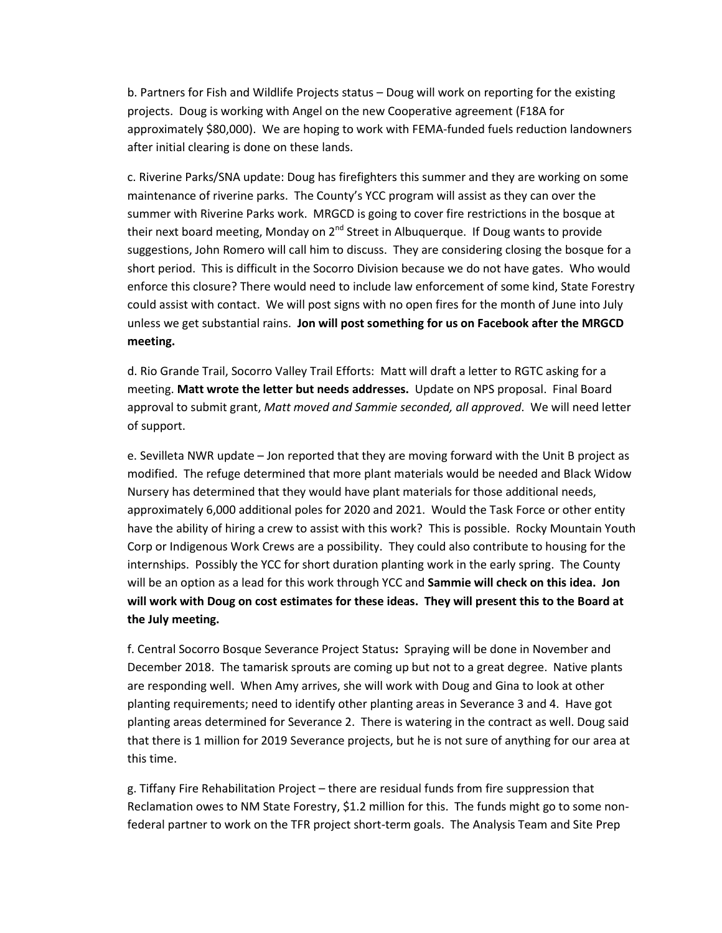b. Partners for Fish and Wildlife Projects status – Doug will work on reporting for the existing projects. Doug is working with Angel on the new Cooperative agreement (F18A for approximately \$80,000). We are hoping to work with FEMA-funded fuels reduction landowners after initial clearing is done on these lands.

c. Riverine Parks/SNA update: Doug has firefighters this summer and they are working on some maintenance of riverine parks. The County's YCC program will assist as they can over the summer with Riverine Parks work. MRGCD is going to cover fire restrictions in the bosque at their next board meeting, Monday on 2<sup>nd</sup> Street in Albuquerque. If Doug wants to provide suggestions, John Romero will call him to discuss. They are considering closing the bosque for a short period. This is difficult in the Socorro Division because we do not have gates. Who would enforce this closure? There would need to include law enforcement of some kind, State Forestry could assist with contact. We will post signs with no open fires for the month of June into July unless we get substantial rains. **Jon will post something for us on Facebook after the MRGCD meeting.** 

d. Rio Grande Trail, Socorro Valley Trail Efforts: Matt will draft a letter to RGTC asking for a meeting. **Matt wrote the letter but needs addresses.** Update on NPS proposal. Final Board approval to submit grant, *Matt moved and Sammie seconded, all approved*. We will need letter of support.

e. Sevilleta NWR update – Jon reported that they are moving forward with the Unit B project as modified. The refuge determined that more plant materials would be needed and Black Widow Nursery has determined that they would have plant materials for those additional needs, approximately 6,000 additional poles for 2020 and 2021. Would the Task Force or other entity have the ability of hiring a crew to assist with this work? This is possible. Rocky Mountain Youth Corp or Indigenous Work Crews are a possibility. They could also contribute to housing for the internships. Possibly the YCC for short duration planting work in the early spring. The County will be an option as a lead for this work through YCC and **Sammie will check on this idea. Jon will work with Doug on cost estimates for these ideas. They will present this to the Board at the July meeting.**

f. Central Socorro Bosque Severance Project Status**:** Spraying will be done in November and December 2018. The tamarisk sprouts are coming up but not to a great degree. Native plants are responding well. When Amy arrives, she will work with Doug and Gina to look at other planting requirements; need to identify other planting areas in Severance 3 and 4. Have got planting areas determined for Severance 2. There is watering in the contract as well. Doug said that there is 1 million for 2019 Severance projects, but he is not sure of anything for our area at this time.

g. Tiffany Fire Rehabilitation Project – there are residual funds from fire suppression that Reclamation owes to NM State Forestry, \$1.2 million for this. The funds might go to some nonfederal partner to work on the TFR project short-term goals. The Analysis Team and Site Prep